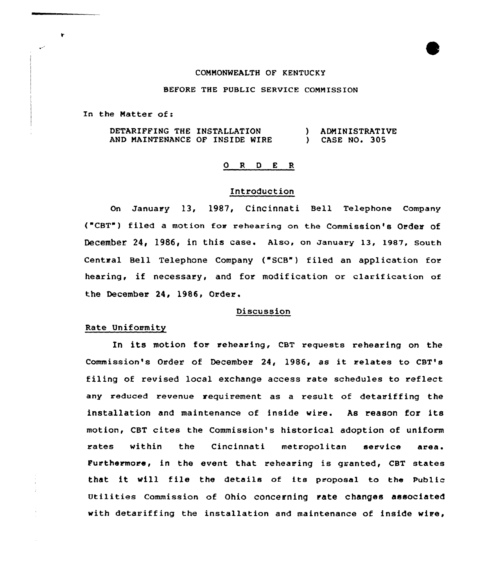### COMMONWEALTH OF KENTUCKY

# BEFORE THE PUBLIC SERVICE COMMISSION

In the Natter of:

۲

DETARIFFING THE INSTALLATION AND MAINTENANCE OF INSIDE MIRE ) ADMINISTRATIVE ) CASE NO. 305

#### 0 R <sup>D</sup> E R

# Introduction

On January 13, 1987, Cincinnati Bell Telephone Company ("CBT") filed a motion for rehearing on the Commission's Order of December 24, 1986, in this case. Also, on January 13, 1987, South Central Bell Telephone Company ("SCB") filed an application for hearing, if necessary, and for modification or clarification of the December 24, 1986, Order.

### Discussion

# Rate Uniformity

In its motion for rehearing, CBT requests rehearing on the Commission's Order of December 24, 1986, as it relates to CBT's filing of revised local exchange access rate schedules to reflect any reduced revenue requirement as a result of detariffing the installation and maintenance of inside wire. As reason for its motion, CBT cites the Commission's historical adoption of uniform rates within the Cincinnati metropolitan service area. Furthermore, in the event that rehearing is granted, CBT states that it will file the details of its proposal to the Public Utilities Commission of Ohio concerning rate changes associated with detariffing the installation and maintenance of inside wire,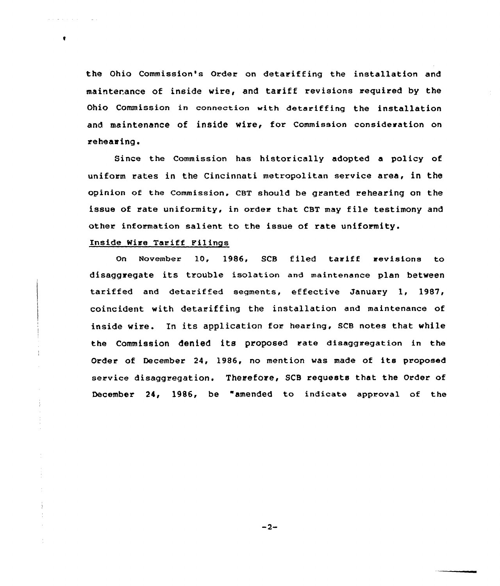the Ohio Commission's Order on detariffing the installation and maintenance of inside wire, and tariff revisions required by the Ohio Commission in connection with detariffing the installation and maintenance of inside wire, for Commission consideration on rehearing.

Since the Commission has historically adopted a policy of uniform rates in the Cincinnati metropolitan service area, in the opinion of the Commission, CBT should be granted rehearing on the issue of rate uniformity, in order that CBT may file testimony and other information salient to the issue of rate uniformity.

# Inside Wire Tariff Filings

 $\bullet$ 

Ť

On November 10, 1986, SCB filed tariff revisions to disaggregate its trouble isolation and maintenance plan between tariffed and detariffed segments, effective January 1, 1987, coincident with detariffing the installation and maintenance of inside wire. In its application for hearing, SCB notes that while the Commission denied its proposed rate disaggregation in the Order of December 24, 1986, no mention was made of its proposed service disaggregation. Therefore, SCB requests that the Order of December 24, 1986, be "amended to indicate approval of the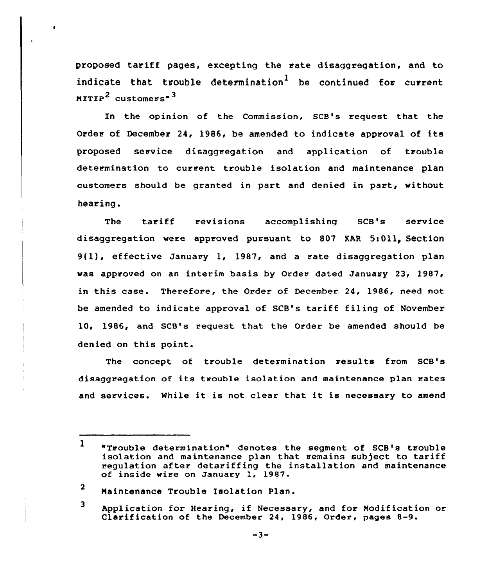proposed tariff pages, excepting the rate disaggregation, and to indicate that trouble determination<sup>1</sup> be continued for current MITIP<sup>2</sup> customers<sup>-3</sup>

In the opinion of the Commission, SCB's request that the Order of December 24, 1986, be amended to indicate approval of its proposed service disaggregation and application of trouble determination to current trouble isolation and maintenance plan customers should be granted in part and denied in part, without hearing.

The tariff revisions accomplishing SCB's service disaggregation were approved pursuant to 807 KAR 5:011, Section 9(1), effective January 1, 1987, and <sup>a</sup> rate disaggregation plan was approved on an interim basis by Order dated January 23, 1987, this case. Therefore, the Order of December 24, 1986, need not be amended to indicate approval of SCB's tariff filing of November l0, 1986, and SCB's request that the Order be amended should be denied on this point.

The concept of trouble determination results from SCB's disaggregation of its trouble isolation and maintenance plan rates and services. While it is not clear that it is necessary to amend

<sup>3</sup> Application for Hearing, if Necessary, and for Modification or Clarification of the December 24, 1986, Order, pages 8-9.

 $\mathbf{1}$ "Trouble determination" denotes the segment of SCB's trouble isolation and maintenance plan that remains sub)ect to tariff regulation after detariffing the installation and maintenance of inside wire on January 1, 1987.

<sup>2</sup> Maintenance Trouble Isolation Plan.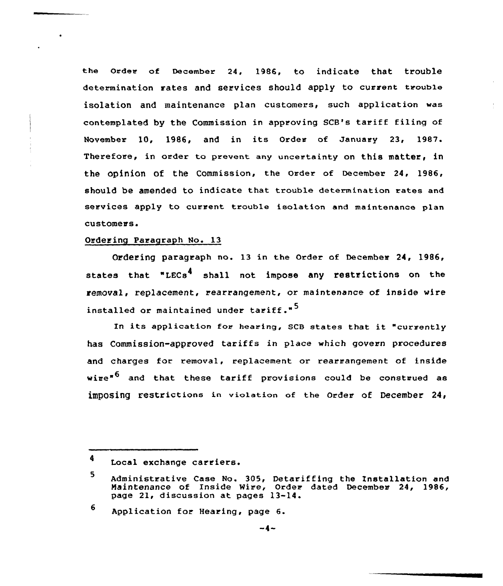the Order of December 24, 1986, to indicate that trouble determination rates and services should apply to current trouble isolation and maintenance plan customers, such application was contemplated by the Commission in approving SCB's tariff filing of November 10, 1986, and in its Order of January 23, 1987. Therefore, in order to prevent any uncertainty on this matter, in the opinion of the commission, the order of December 24, 1986, should be amended to indicate that trouble determination rates and services apply to current trouble isolation and maintenance plan customers.

## Ordering Paragraph No. 13

Ordering paragraph no. 13 in the Order of December 24, 1986, states that "LECs<sup>4</sup> shall not impose any restrictions on the removal, replacement, rearrangement, or maintenance of inside wire installed or maintained under tariff."<sup>5</sup>

In its application for hearing, SCB states that it "currently has Commission-approved tariffs in place which govern procedures and charges for removal, replacement or rearrangement of inside wire"<sup>6</sup> and that these tariff provisions could be construed as imposing restrictions in violation of the Order of December 24,

<sup>4</sup> Local exchange carriers.

<sup>5</sup> Administrative Case No. 305, Detariffing the Znstallation and Naintenance of Inside Wire, Order dated December 24, 1986, page 21, discussion at pages 13-14.

<sup>6</sup> Application for Hearing, page 6.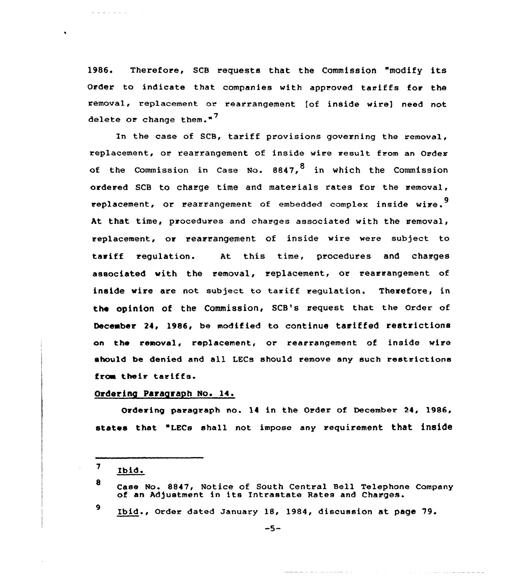1986. Therefore, SCB requests that the Commission "modify its Order to indicate that companies with approved tariffs for the removal, replacement ar rearrangement [of inside wire) need not delete or change them."<sup>7</sup>

In the case af SCB, tariff provisions governing the removal, replacement, or rearrangement of inside wire result from an Order of the Commission in Case No.  $8847.$ <sup>8</sup> in which the Commission ordered SCB to charge time and materials rates for the removal, replacement, or rearrangement of embedded complex inside wire.<sup>9</sup> At that time, procedures and charges associated with the removal, replacement, or rearrangement of inside wire were subject to tariff regulation. At this time, procedures and charges associated with the removal, replacement, or rearrangement of inside wire are nat subject to tariff regulation. Therefore, in the opinion of the Commission, SCB's request that the Order of December 24, 1986, be madified ta continue tariffed restrictions on the removal, replacement, ar rearrangement of inside wire should be denied and all LECs should remove any such restrictions from their tariffs.

# Ordering Paraqraph No. 14.

Ordering paragraph no. 14 in the Order of December 24, 1986, states that "LECs shall not impose any requirement that inside

and discussions.

 $\ddot{\phantom{1}}$ 

9

Ibid., Order dated January 18, 1984, discussion at page 79.

المناصب والمتحدث والمتحدث والمستحدث والمستحدث

 $\mathbf{7}$ Ibid.

<sup>8</sup> Case No. 8847, Notice of South Central Bell Telephone Company<br>of an Adjustment in its Intrastate Rates and Charges.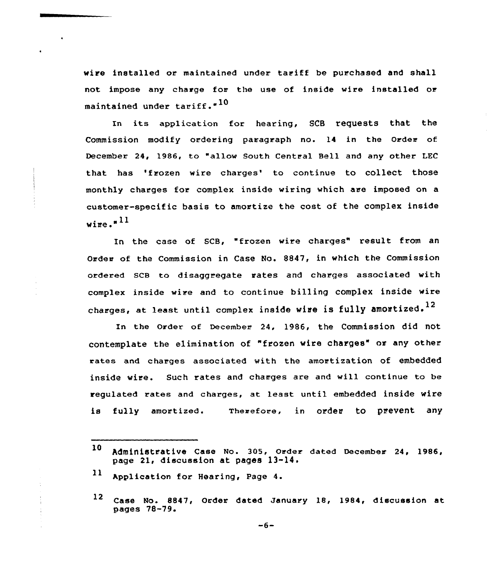wire installed or maintained under tariff be purchased and shall not impose any charge for the use of inside wixe installed or maintained under tariff." $^{10}$ 

In its application for hearing, SCB requests that the Commission modify ordering paragraph no. 14 in the Order of December 24, 1986, to "allow South Central Bell and any other LEC that has 'frozen wire charges' to continue to collect those monthly charges for complex inside wiring which are imposed on a customer-specific basis to amortize the cost of the complex inside wire. $n^{11}$ 

In the case of SCB, "frozen wire charges" result from an Order of the Commission in Case No. 8847, in which the Commission ordered SCB to disaggregate rates and charges associated with complex inside wire and to continue billing complex inside wire charges, at least until complex inside wire is fully amortized.<sup>12</sup>

In the Order of December 24, 1986, the Commission did not contemplate the elimination of "frozen wire charges" or any other rates and charges associated with the amortization of embedded inside wire. Such rates and charges are and will continue to be regulated rates and charges, at least until embedded inside wire is fully amortized. Therefore, in order to prevent any

 $11$  Application for Hearing, Page 4.

<sup>10</sup> Administrative Case No. 305, Order dated December 24, 1986, page 21, discussion at pages 13-14.

<sup>12</sup> Case Mo. 8847, Order dated January 18, 1984, discussion at pages 78-79.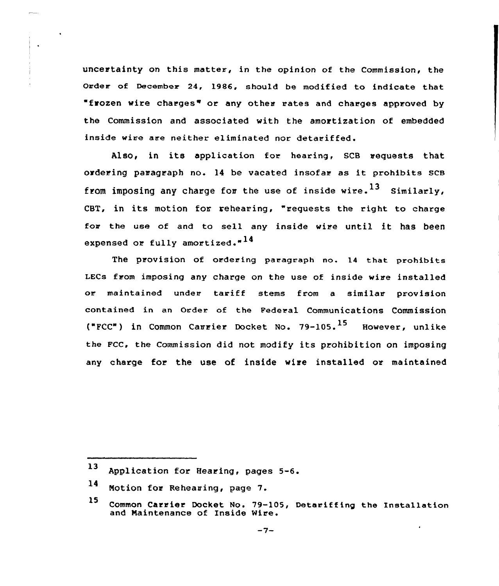uncertainty on this matter, in the opinion of the Commission, the Order of December 24, 1986, should be modified to indicate that "frozen wire charges" or any other rates and charges approved by the Commission and associated with the amortization of embedded inside wire are neither eliminated nor detariffed.

Also, in its application for hearing, SCB requests that ordering paragraph no. <sup>14</sup> be vacated insofar as it prohibits SCB from imposing any charge for the use of inside wire.<sup>13</sup> Similarly, CBT, in its motion for rehearing, "requests the right to charge for the use of and to sell any inside wire until it has been expensed or fully amortized."<sup>14</sup>

The prOViSiOn Of Ordering paragraph no. 14 that prohibits LECs from imposing any charge on the use of inside wire installed or maintained under tariff stems from <sup>a</sup> similar provision contained in an order of the Federal communications Commission ("FCC") in Common Carrier Docket No. 79-105.<sup>15</sup> However, unlike the Fcc, the commission did not modify its prohibition on imposing any charge for the use of inside wire installed or maintained

<sup>13</sup> Application for Hearing, pages 5-6.

 $14$ Motion for Rehearing, page 7.

<sup>15</sup> Common Carrier Docket No. 79-105, Detariffing the Installation and Maintenance of Inside Wire.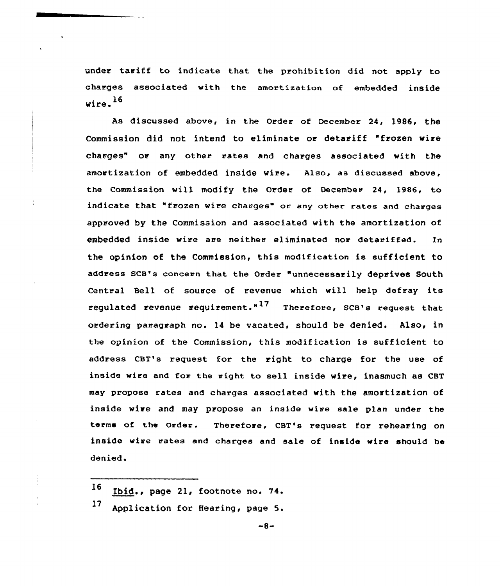under tariff to indicate that the prohibition did not apply to charges associated with the amortization of embedded inside wire. $^{16}$ 

As discussed above, in the Order of December 24, 1986, the Commission did not intend to eliminate or detariff "frozen wire charges" or any other rates and charges associated with the amortization of embedded inside wire. Also, as discussed above, the Commission will modify the Order of December 24, 1986, to indicate that "frozen wire charges" or any other rates and charges approved by the Commission and associated with the amortization of embedded inside wire are neither eliminated nor detariffed. In the opinion of the Commission, this modification is sufficient to address SCB's concern that the Order "unnecessarily deprives South Central Bell of source of revenue which will help defray its regulated revenue requirement. $n^{17}$  Therefore, SCB's request that ordering paragraph no. 14 be vacated, should be denied. Also, in the opinion of the Commission, this modification is sufficient to address CBT's request for the right to charge for the use of inside wire and for the right to sell inside wire, inasmuch as CBT may propose rates and charges associated with the amortization of inside wire and may propose an inside wire sale plan under the terms of the Order. Therefore, CBT's request for rehearing on inside wire rates and charges and sale of inside wire should be denied.

- <sup>16</sup> Ibid., page 21, footnote no. 74.
- <sup>17</sup> Application for Hearing, page 5.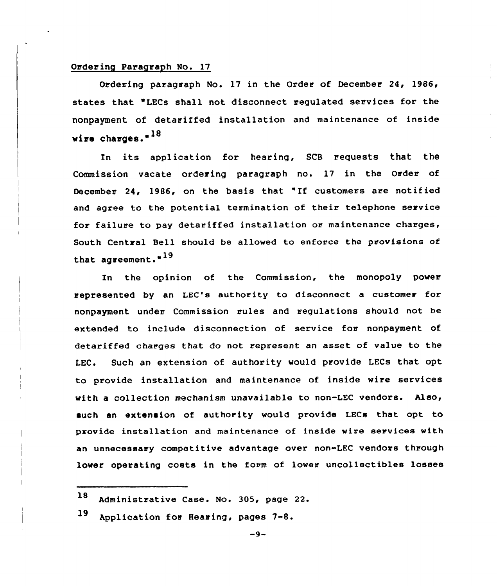### Ordering Paragraph No. 17

Ordering paragraph No. 17 in the Order of December 24, 1986, states that "LECs shall not disconnect regulated services for the nonpayment of detariffed installation and maintenance of inside wire charges."<sup>18</sup>

In its application for hearing, SCB requests that the Commission vacate ordering paragraph no. 17 in the Order of December 24, 1986, on the basis that "If customers are notified and agree to the potential termination of their telephone service for failure to pay detariffed installation or maintenance charges, South Central Bell should be allowed to enforce the provisions of that agreement. $19$ 

In the opinion of the Commission, the monopoly power represented by an LEC's authority to disconnect a customer for nonpayment under Commission rules and regulations should not be extended to include disconnection of service for nonpayment of detariffed charges that do not represent an asset of value to the LEC. Such an extension of authority would provide LECs that opt to provide installation and maintenance of inside wire services with a collection mechanism unavailable to non-LEC vendors. Also, such an extension of authority would provide LECs that opt to provide installation and maintenance of inside wire services with an unnecessary competitive advantage over non-LEC vendors through lower operating costs in the form of lower uncollectibles losses

<sup>18</sup> Administrative Case. No. 305, page 22.

<sup>19</sup> Application for Hearing, pages 7-8.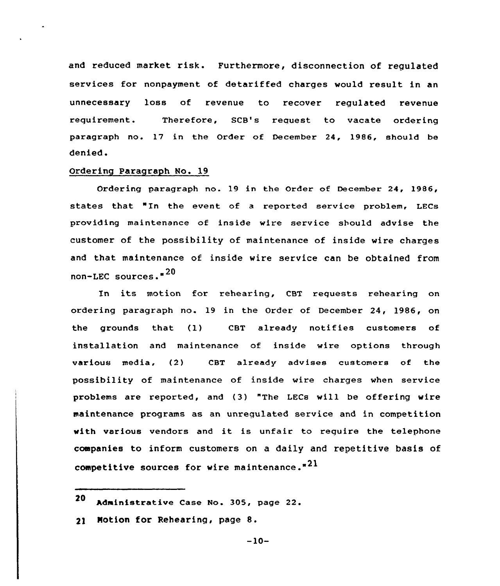and reduced market risk. Furthermore, disconnection of requlated services for nonpayment of detariffed charges would result in an unnecessary loss of revenue to recover regulated revenue requirement. Therefore, SCB's request to vacate ordering paragraph no. 17 in the Order of December 24, 1986, should be denied.

### Ordering Paragraph No. 19

Ordering paragraph no. 19 in the Order of December 24, 1986, states that "In the event of a reported service problem, LECs providing maintenance of inside wire service should advise the customer of the possibility of maintenance of inside wire charges and that maintenance of inside wire service can be obtained from non-LEC sources." $20$ 

In its motion for rehearing, CBT requests rehearing on ordering paragraph no. 19 in the Order of December 24, 1986, on the grounds that {1) CBT already notifies customers of installation and maintenance of inside vire options through various media, (2) CBT already advises customers of the possibility of maintenance of inside vire charges when service problems are reported, and (3) "The LECs vill be offering wire maintenance programs as an unregulated service and in competition with various vendors and it is unfair to require the telephone companies to inform customers on a daily and repetitive basis of competitive sources for wire maintenance." $21$ 

21 Motion for Rehearing, page 8.

 $-10-$ 

<sup>20</sup> Administrative Case No. 305, page 22.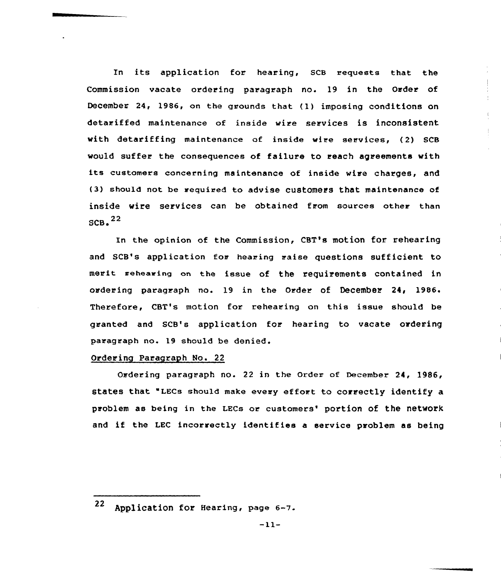In its application for hearing, SCB requests that the Commission vacate ordering paragraph no. 19 in the Order of December 24, 1986, on the grounds that (1) imposing conditions on detariffed maintenance of inside wire services is inconsistent with detariffing maintenance of inside wire services, {2) SCB would suffer the consequences of failure to reach agreements with its customers concerning maintenance of inside wire charges, and (3) should not be required to advise customers that maintenance of inside wire services can be obtained from sources other than  $SCB<sub>2</sub>$ <sup>22</sup>

In the opinion of the Commission, CBT's motion for rehearing and SCB's application for hearing raise questions sufficient to merit meheexing an the issue of the requirements contained in ordering paragraph no. 19 in the Order of December 24, 1986. Therefore, CBT's motion for rehearing on this issue should be granted and SCB's application for hearing to vacate ordering paragraph no. 19 should be denied.

# Ordering Paragraph No. 22

Ordering paragraph no. 22 in the Order of December 24, 19S6, states that "LECs should make every effort to correctly identify a problem as being in the LECs or customers' portion of the network and if the LEC incorrectly identifies a service problem as being

<sup>22</sup> Application for Hearing, page 6-7.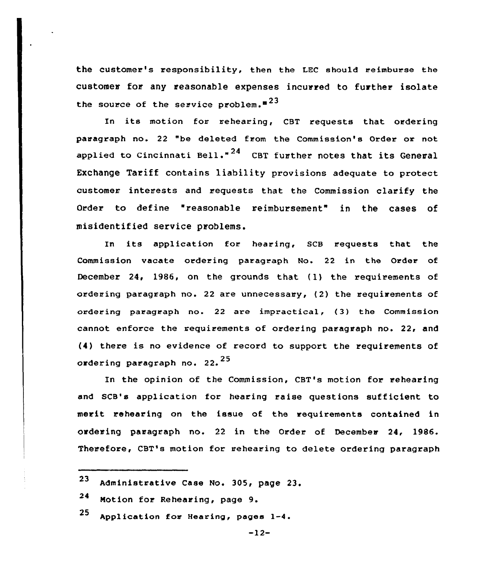the customer's responsibility, then the LEC should reimburse the customer for any reasonable expenses incurred to further isolate the source of the service problem.<sup>523</sup>

In its motion for rehearing, CBT requests that ordering paragraph no. 22 "be deleted from the Commission's Order or not applied to Cincinnati Bell."<sup>24</sup> CBT further notes that its General Exchange Tariff contains liability provisions adequate to protect customer interests and requests that the Commission clarify the Order to define "reasonable reimbursement" in the cases of misidentified service problems.

In its application for hearing, SCB requests that the Commission vacate ordering paragraph No. 22 in the Order of December 24, 1986, on the grounds that (1) the requirements of ordering paragraph no. 22 are unnecessary, (2) the requirements of ordering paragraph no. 22 are impractical, (3) the Commission cannot enforce the requirements of ordering paragraph no. 22, and (4) there is no evidence of record to support the requirements of ordering paragraph no. 22.<sup>25</sup>

In the opinion of the Commission, CBT's motion for rehearing and SCB's application for hearing raise questions sufficient to merit rehearing on the issue of the requirements contained in ordering paragraph no. 22 in the Order of December 24, 1986. Therefore, CBT's motion for rehearing to delete ordering paragraph

<sup>23</sup> Administrative Case No. 305, page 23.

<sup>24</sup> Motion for Rehearing, page 9.

 $25$  Application for Hearing, pages  $1-4$ .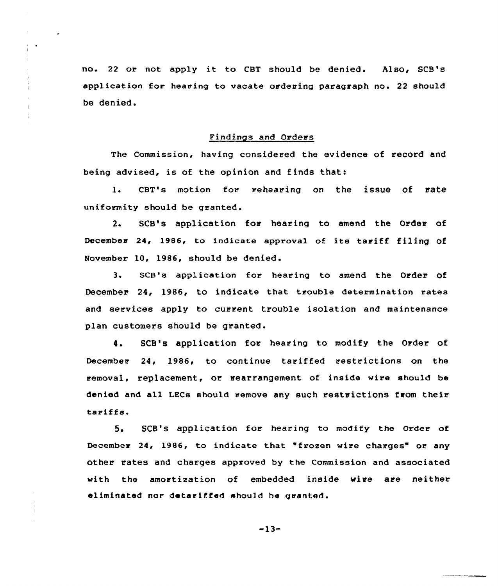no. <sup>22</sup> or not apply it to CBT should be denied. Also, SCB's application for hearing to vacate ordering paragraph no. 22 should be denied.

Findings and Orders

The Commission, having considered the evidence of record and being advised, is of the opinion and finds that:

1. CBT's motion for rehearing on the issue of rate uniformity should be granted.

2. SCB's application for hearing to amend the Order of December 24, 1986, to indicate approval of its tariff filing of November 10, 1986, should be denied .

3. SCB's application for hearing to amend the Order of December 24< 1986, to indicate that trouble determination rates and services apply to current trouble isolation and maintenance plan customers should be granted.

4. SCB's application for hearing to modify the Order of December 24, 1986, to continue tariffed restrictions on the removal, replacement, or rearrangement of inside wire should be denied and all LECs should remove any such restrictions from their tariffs.

5. SCB's application for hearing to modify the Order of December 24, 1986, to indicate that "frozen wire charges" or any other rates and charges approved by the Commission and associated with the amortization of embedded inside wire are neither eliminated nor detariffed should he granted.

 $-13-$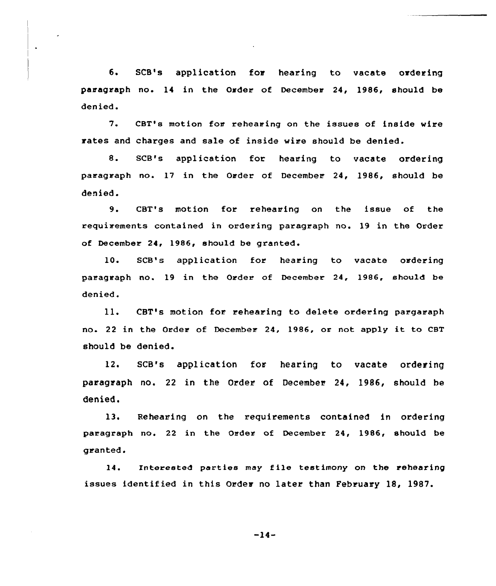6. SCB's application for hearing to vacate ordering paragraph no. 14 in the Order of December 24, 1986, should be denied.

 $\ddot{\phantom{1}}$ 

7. CBT's motion for rehearing on the issues of inside wire rates and charges and sale of inside wire should be denied.

8. SCB's application for hearing to vacate ordering paragraph no. 17 in the Order of December 24, 1986, should be denied.

9. CBT's motion for rehearing on the issue of the requirements contained in ordering paragraph no. 19 in the Order of December 24, 1986, should be granted.

10. SCB's application for hearing to vacate ordering paragraph no. 19 in the Order of December 24, 1986, should be denied.

 $11.$ CBT's motion for rehearing to delete ordering pargaraph no. <sup>22</sup> in the Order of December 24, 1986, or not apply it to CBT should be denied.

12. SCB's application for hearing to vacate ordering paragraph no. 22 in the Order of December 24, 1986, should be denied.

13. Rehearing on the requirements contained in ordering paragraph no. 22 in the Order of December 24, 1986, should be granted.

14. Interested parties may file testimony on the rehearing issues identif ied in this Order no later than February 18, 1987.

 $-14-$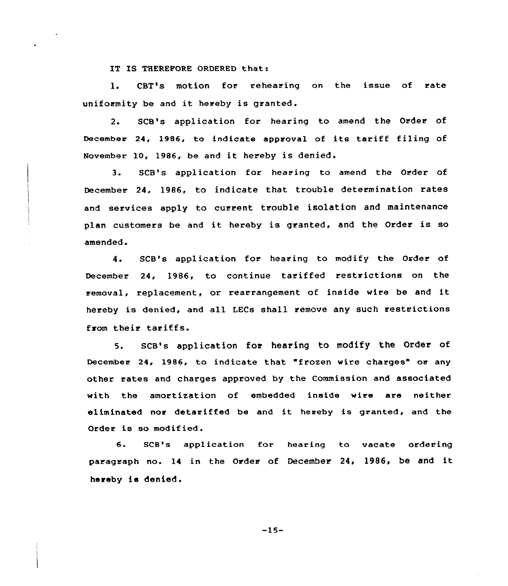IT IS THEREFORE ORDERED that:

1. CBT's motion for rehearing on the issue of rate uniformity be and it hereby is granted.

2. SCB's application for hearing to amend the Order of December 24, 1986, to indicate approval of its tariff filing of November 10, 1986, be and it hereby is denied'.

 $3.$ SCB's application for hearing to amend the Order of December 24, 1986, to indicate that trouble determination rates and services apply to current trouble isolation and maintenance plan customers be and it hereby is granted, and the Order is so amended.

4. SCB's application for hearing to modify the Order of December 24, 1986, to continue tariffed restrictions on the removal, replacement, or rearrangement of inside wire be and it hereby is denied, and all LECs shall remove any such restrictions from their tariffs.

5. SCB's application for hearing to modify the Order of December 24, 1986, to indicate that "frozen wire charges" or any other rates and charges approved by the Commission and associated with the amortization of embedded inside wire are neither eliminated nor detariffed be and it hereby is granted, and the Order is so modified.

6. SCB's application for hearing to vacate ordering paragraph no. 14 in the Order of December 24, 1986, be and it hereby is denied.

 $-15-$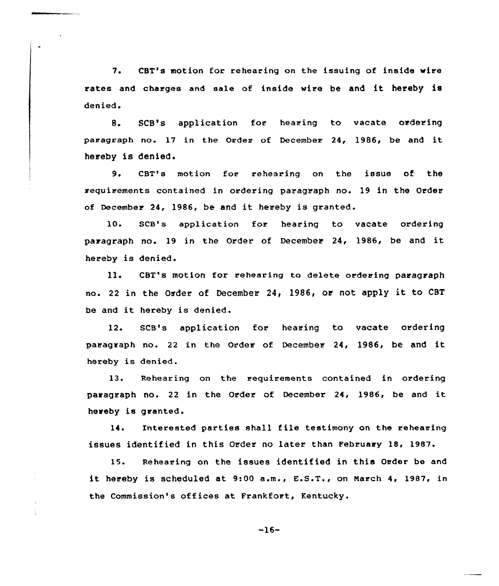7. CBT's motion for rehearing on the issuing of inside wire rates and charges and sale of inside wire be and it hereby is denied.

8. SCB's application for hearing to vacate ordering paragraph no. <sup>17</sup> in the Order of December 24, 1986, be and it hereby is denied.

9. CBT's motion for rehearing on the issue of the requirements contained in ordering paragraph no. 19 in the Order of December 24, 1986, be and it hereby is granted.

10. SCB's application for hearing to vacate ordering paragraph no. <sup>19</sup> in the Order of December 24, 1986, be and it hereby is denied.

11. CBT's motion for rehearing to delete ordering paragraph no. 22 in the Order of December 24, 1986, or not apply it to CBT be and it hereby is denied.

12. SCB's application for hearing to vacate ordering paragraph no. 22 in the Order of December 24, 1986, be and it hereby is denied.

13. Rehearing on the requirements contained in ordering paragraph no. <sup>22</sup> in the Order of December 24, 1986, be and it hereby is granted.

14. Interested parties shall file testimony on the rehearing issues identified in this Order no later than February 18, 1987.

15. Rehearing on the issues identified in this Order be and it hereby is scheduled at 9:00 a.m., E.S.T., on Narch 4, 1987, in the Commission's offices at Frankfort, Kentucky.

-16-